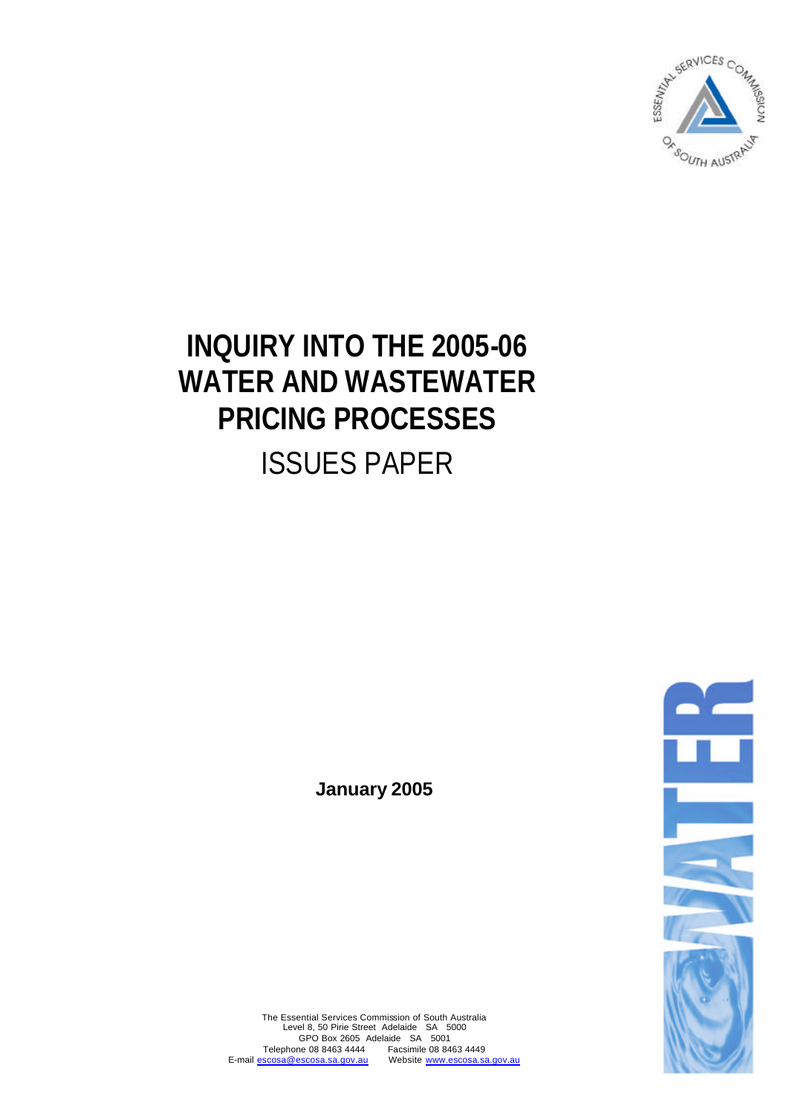

# **INQUIRY INTO THE 2005-06 WATER AND WASTEWATER PRICING PROCESSES** ISSUES PAPER

**January 2005**



The Essential Services Commission of South Australia Level 8, 50 Pirie Street Adelaide SA 5000 GPO Box 2605 Adelaide SA 5001 Telephone 08 8463 4444 Facsimile 08 8463 4449 E-mail escosa@escosa.sa.gov.au Website www.escosa.sa.gov.au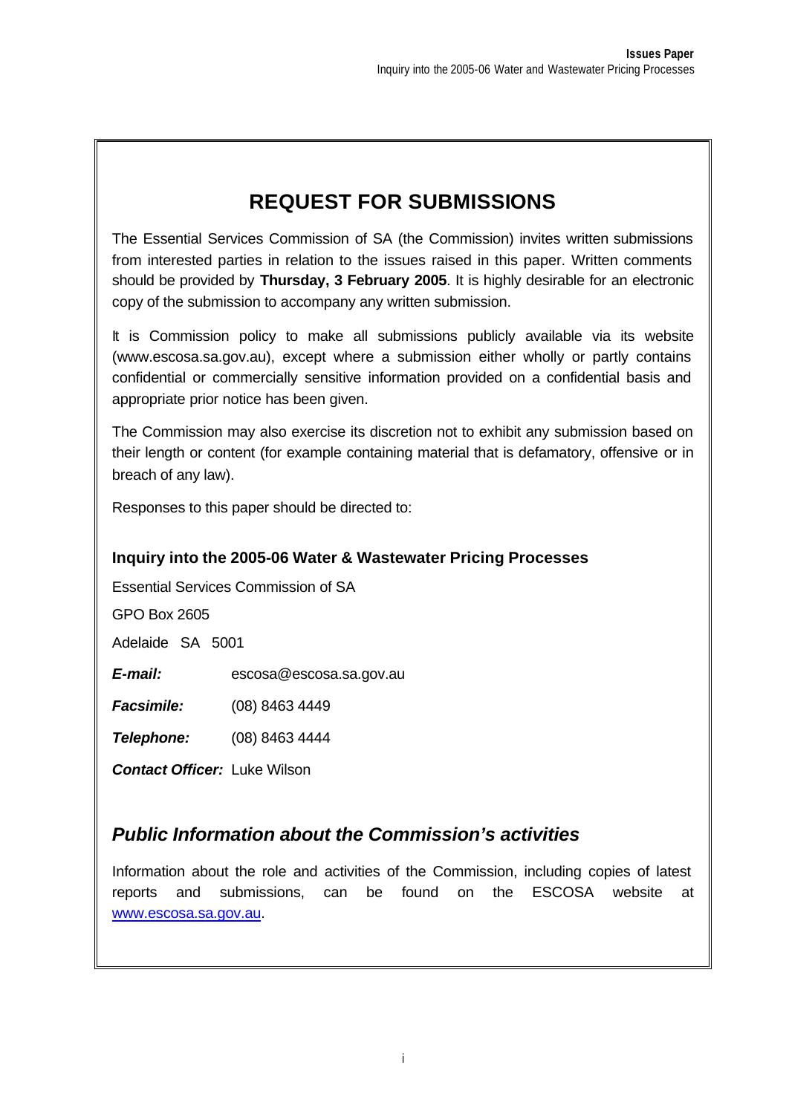# **REQUEST FOR SUBMISSIONS**

The Essential Services Commission of SA (the Commission) invites written submissions from interested parties in relation to the issues raised in this paper. Written comments should be provided by **Thursday, 3 February 2005**. It is highly desirable for an electronic copy of the submission to accompany any written submission.

It is Commission policy to make all submissions publicly available via its website (www.escosa.sa.gov.au), except where a submission either wholly or partly contains confidential or commercially sensitive information provided on a confidential basis and appropriate prior notice has been given.

The Commission may also exercise its discretion not to exhibit any submission based on their length or content (for example containing material that is defamatory, offensive or in breach of any law).

Responses to this paper should be directed to:

#### **Inquiry into the 2005-06 Water & Wastewater Pricing Processes**

Essential Services Commission of SA

GPO Box 2605

Adelaide SA 5001

*E-mail:* escosa@escosa.sa.gov.au

*Facsimile:* (08) 8463 4449

*Telephone:* (08) 8463 4444

*Contact Officer:* Luke Wilson

#### *Public Information about the Commission's activities*

Information about the role and activities of the Commission, including copies of latest reports and submissions, can be found on the ESCOSA website at www.escosa.sa.gov.au.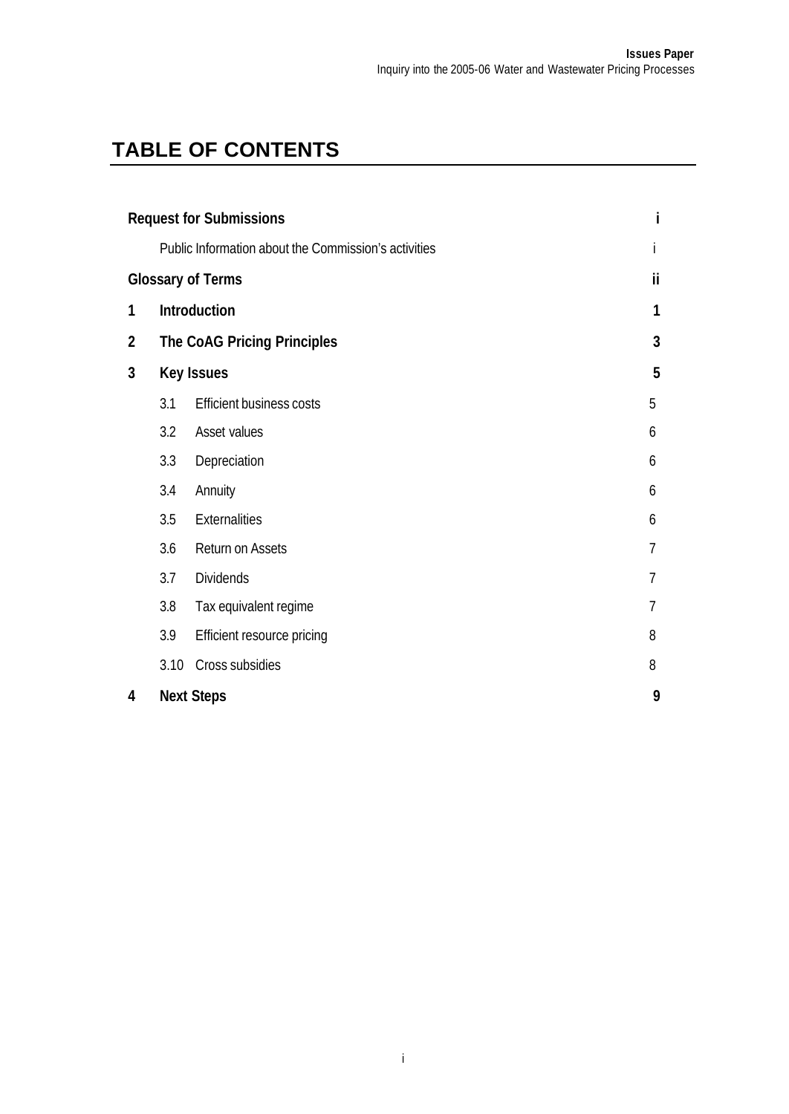# **TABLE OF CONTENTS**

| <b>Request for Submissions</b> |                                |                                                      |   |
|--------------------------------|--------------------------------|------------------------------------------------------|---|
|                                |                                | Public Information about the Commission's activities |   |
|                                | ii<br><b>Glossary of Terms</b> |                                                      |   |
| 1                              |                                | Introduction                                         | 1 |
| $\overline{2}$                 |                                | The CoAG Pricing Principles                          | 3 |
| 3                              | 5<br><b>Key Issues</b>         |                                                      |   |
|                                | 3.1                            | <b>Efficient business costs</b>                      | 5 |
|                                | 3.2                            | Asset values                                         | 6 |
|                                | 3.3                            | Depreciation                                         | 6 |
|                                | 3.4                            | Annuity                                              | 6 |
|                                | 3.5                            | <b>Externalities</b>                                 | 6 |
|                                | 3.6                            | <b>Return on Assets</b>                              | 7 |
|                                | 3.7                            | <b>Dividends</b>                                     | 7 |
|                                | 3.8                            | Tax equivalent regime                                | 7 |
|                                | 3.9                            | Efficient resource pricing                           | 8 |
|                                | 3.10                           | Cross subsidies                                      | 8 |
| 4                              | <b>Next Steps</b>              |                                                      | 9 |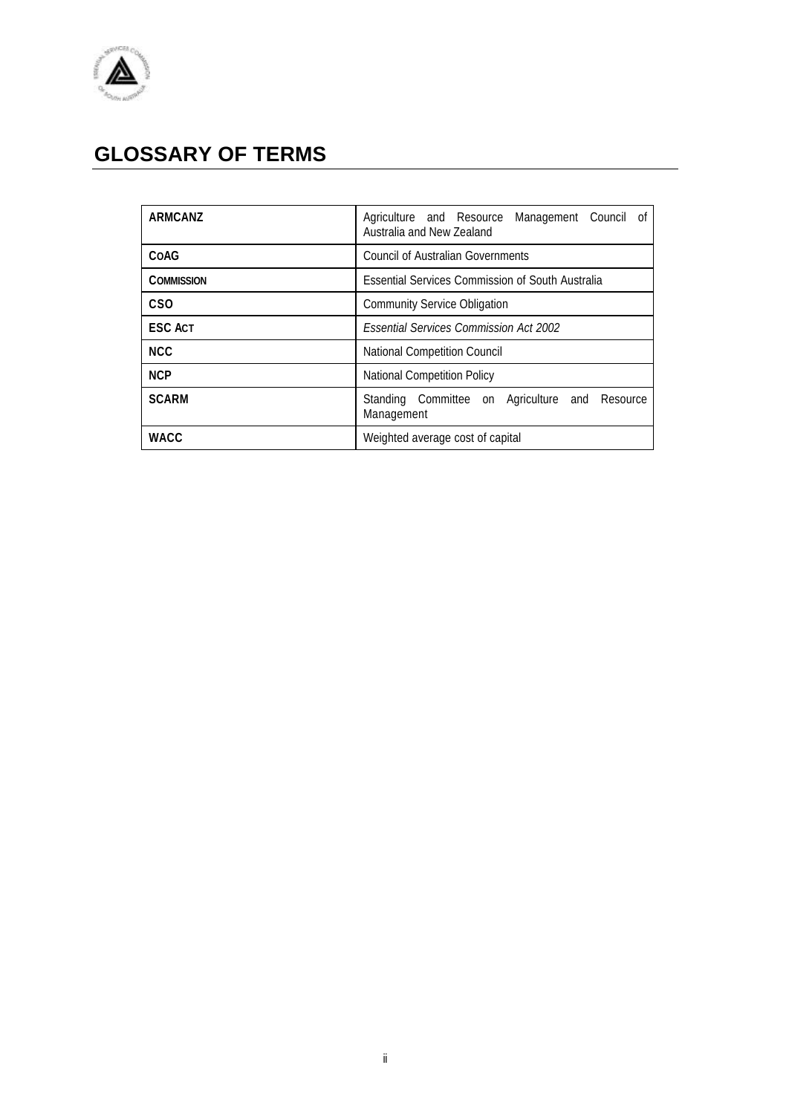

# **GLOSSARY OF TERMS**

| <b>ARMCANZ</b>    | Agriculture and Resource<br>Management Council of<br>Australia and New Zealand |
|-------------------|--------------------------------------------------------------------------------|
| COAG              | <b>Council of Australian Governments</b>                                       |
| <b>COMMISSION</b> | <b>Essential Services Commission of South Australia</b>                        |
| C <sub>SO</sub>   | <b>Community Service Obligation</b>                                            |
| <b>ESC ACT</b>    | <b>Essential Services Commission Act 2002</b>                                  |
| <b>NCC</b>        | National Competition Council                                                   |
| <b>NCP</b>        | <b>National Competition Policy</b>                                             |
| <b>SCARM</b>      | Standing Committee on Agriculture and Resource<br>Management                   |
| WACC              | Weighted average cost of capital                                               |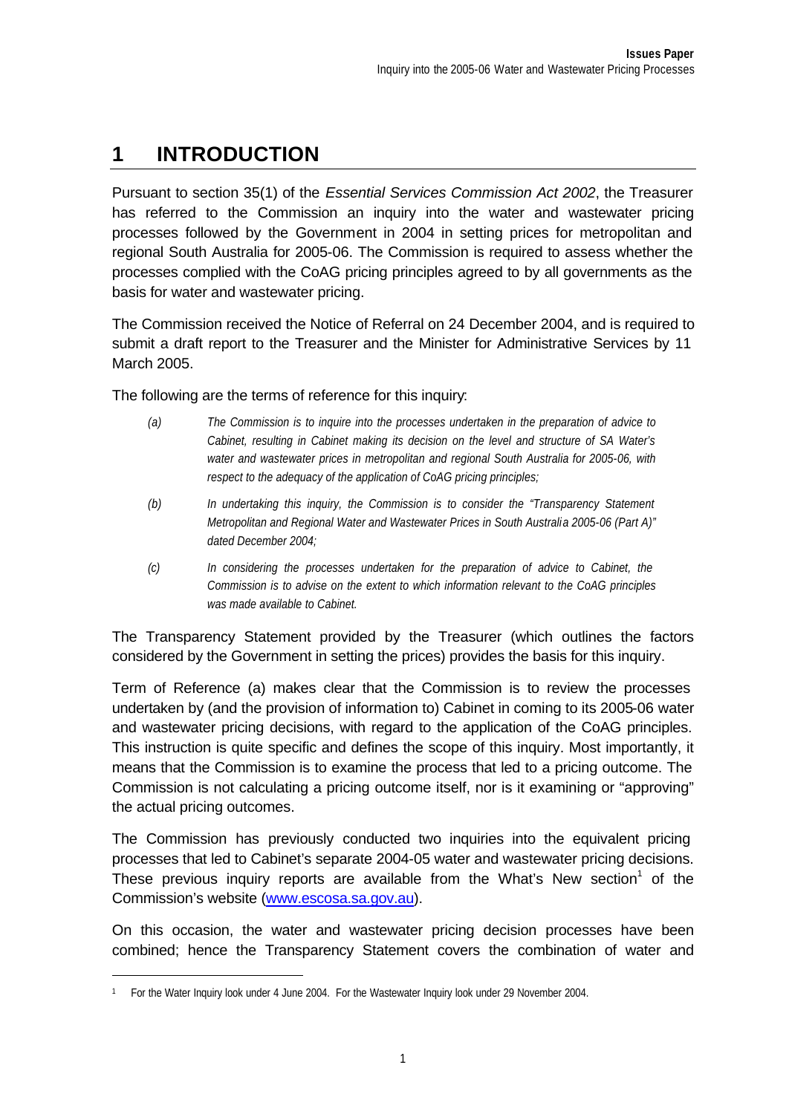## **1 INTRODUCTION**

Pursuant to section 35(1) of the *Essential Services Commission Act 2002*, the Treasurer has referred to the Commission an inquiry into the water and wastewater pricing processes followed by the Government in 2004 in setting prices for metropolitan and regional South Australia for 2005-06. The Commission is required to assess whether the processes complied with the CoAG pricing principles agreed to by all governments as the basis for water and wastewater pricing.

The Commission received the Notice of Referral on 24 December 2004, and is required to submit a draft report to the Treasurer and the Minister for Administrative Services by 11 March 2005.

The following are the terms of reference for this inquiry:

- *(a) The Commission is to inquire into the processes undertaken in the preparation of advice to Cabinet, resulting in Cabinet making its decision on the level and structure of SA Water's water and wastewater prices in metropolitan and regional South Australia for 2005-06, with respect to the adequacy of the application of CoAG pricing principles;*
- *(b) In undertaking this inquiry, the Commission is to consider the "Transparency Statement Metropolitan and Regional Water and Wastewater Prices in South Australia 2005-06 (Part A)" dated December 2004;*
- *(c) In considering the processes undertaken for the preparation of advice to Cabinet, the Commission is to advise on the extent to which information relevant to the CoAG principles was made available to Cabinet.*

The Transparency Statement provided by the Treasurer (which outlines the factors considered by the Government in setting the prices) provides the basis for this inquiry.

Term of Reference (a) makes clear that the Commission is to review the processes undertaken by (and the provision of information to) Cabinet in coming to its 2005-06 water and wastewater pricing decisions, with regard to the application of the CoAG principles. This instruction is quite specific and defines the scope of this inquiry. Most importantly, it means that the Commission is to examine the process that led to a pricing outcome. The Commission is not calculating a pricing outcome itself, nor is it examining or "approving" the actual pricing outcomes.

The Commission has previously conducted two inquiries into the equivalent pricing processes that led to Cabinet's separate 2004-05 water and wastewater pricing decisions. These previous inquiry reports are available from the What's New section<sup>1</sup> of the Commission's website (www.escosa.sa.gov.au).

On this occasion, the water and wastewater pricing decision processes have been combined; hence the Transparency Statement covers the combination of water and

l

<sup>1</sup> For the Water Inquiry look under 4 June 2004. For the Wastewater Inquiry look under 29 November 2004.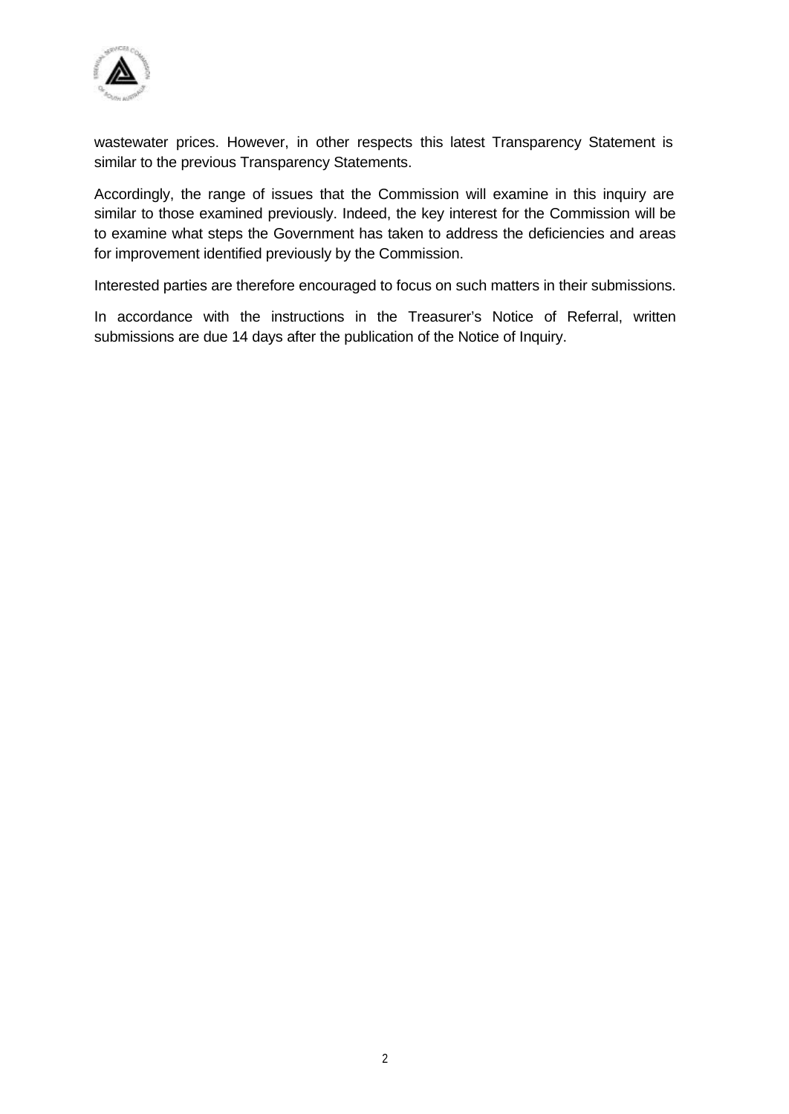

wastewater prices. However, in other respects this latest Transparency Statement is similar to the previous Transparency Statements.

Accordingly, the range of issues that the Commission will examine in this inquiry are similar to those examined previously. Indeed, the key interest for the Commission will be to examine what steps the Government has taken to address the deficiencies and areas for improvement identified previously by the Commission.

Interested parties are therefore encouraged to focus on such matters in their submissions.

In accordance with the instructions in the Treasurer's Notice of Referral, written submissions are due 14 days after the publication of the Notice of Inquiry.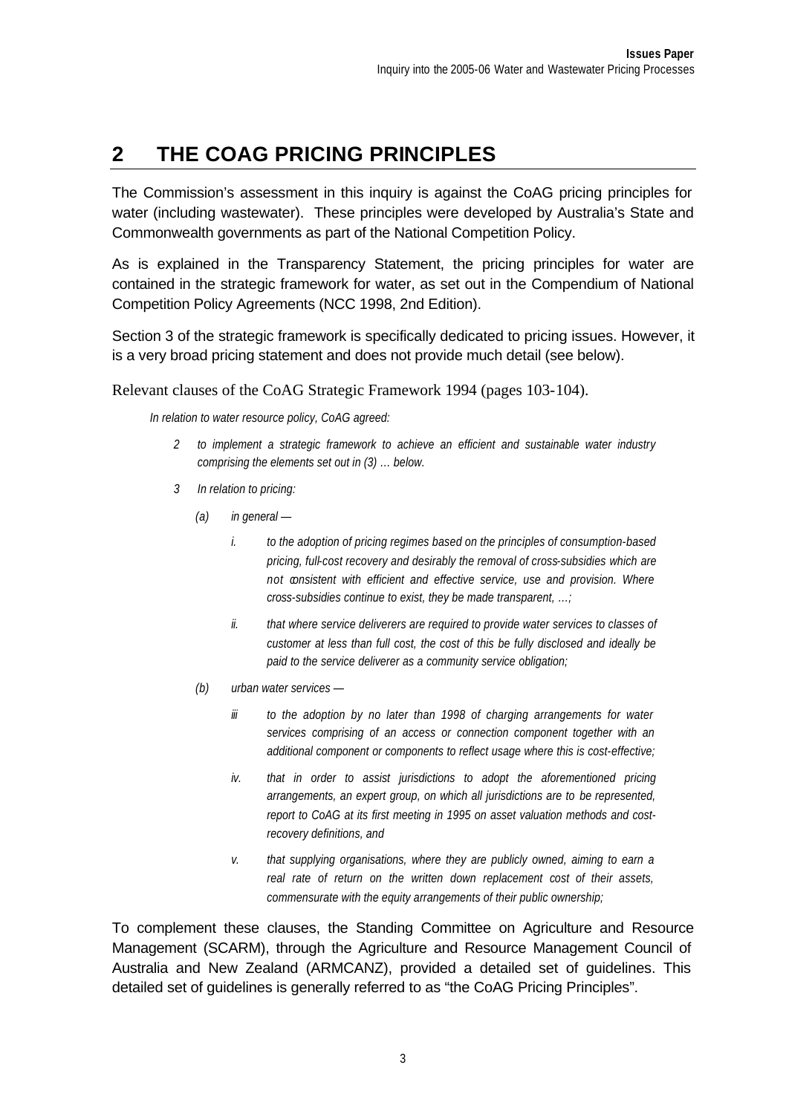# **2 THE COAG PRICING PRINCIPLES**

The Commission's assessment in this inquiry is against the CoAG pricing principles for water (including wastewater). These principles were developed by Australia's State and Commonwealth governments as part of the National Competition Policy.

As is explained in the Transparency Statement, the pricing principles for water are contained in the strategic framework for water, as set out in the Compendium of National Competition Policy Agreements (NCC 1998, 2nd Edition).

Section 3 of the strategic framework is specifically dedicated to pricing issues. However, it is a very broad pricing statement and does not provide much detail (see below).

Relevant clauses of the CoAG Strategic Framework 1994 (pages 103-104).

*In relation to water resource policy, CoAG agreed:*

- *2 to implement a strategic framework to achieve an efficient and sustainable water industry comprising the elements set out in (3) … below.*
- *3 In relation to pricing:*
	- *(a) in general* 
		- *i. to the adoption of pricing regimes based on the principles of consumption-based pricing, full-cost recovery and desirably the removal of cross-subsidies which are not consistent with efficient and effective service, use and provision. Where cross-subsidies continue to exist, they be made transparent, …;*
		- *ii. that where service deliverers are required to provide water services to classes of customer at less than full cost, the cost of this be fully disclosed and ideally be paid to the service deliverer as a community service obligation;*
	- *(b) urban water services* 
		- *iii to the adoption by no later than 1998 of charging arrangements for water services comprising of an access or connection component together with an additional component or components to reflect usage where this is cost-effective;*
		- *iv. that in order to assist jurisdictions to adopt the aforementioned pricing arrangements, an expert group, on which all jurisdictions are to be represented, report to CoAG at its first meeting in 1995 on asset valuation methods and costrecovery definitions, and*
		- *v. that supplying organisations, where they are publicly owned, aiming to earn a real rate of return on the written down replacement cost of their assets, commensurate with the equity arrangements of their public ownership;*

To complement these clauses, the Standing Committee on Agriculture and Resource Management (SCARM), through the Agriculture and Resource Management Council of Australia and New Zealand (ARMCANZ), provided a detailed set of guidelines. This detailed set of guidelines is generally referred to as "the CoAG Pricing Principles".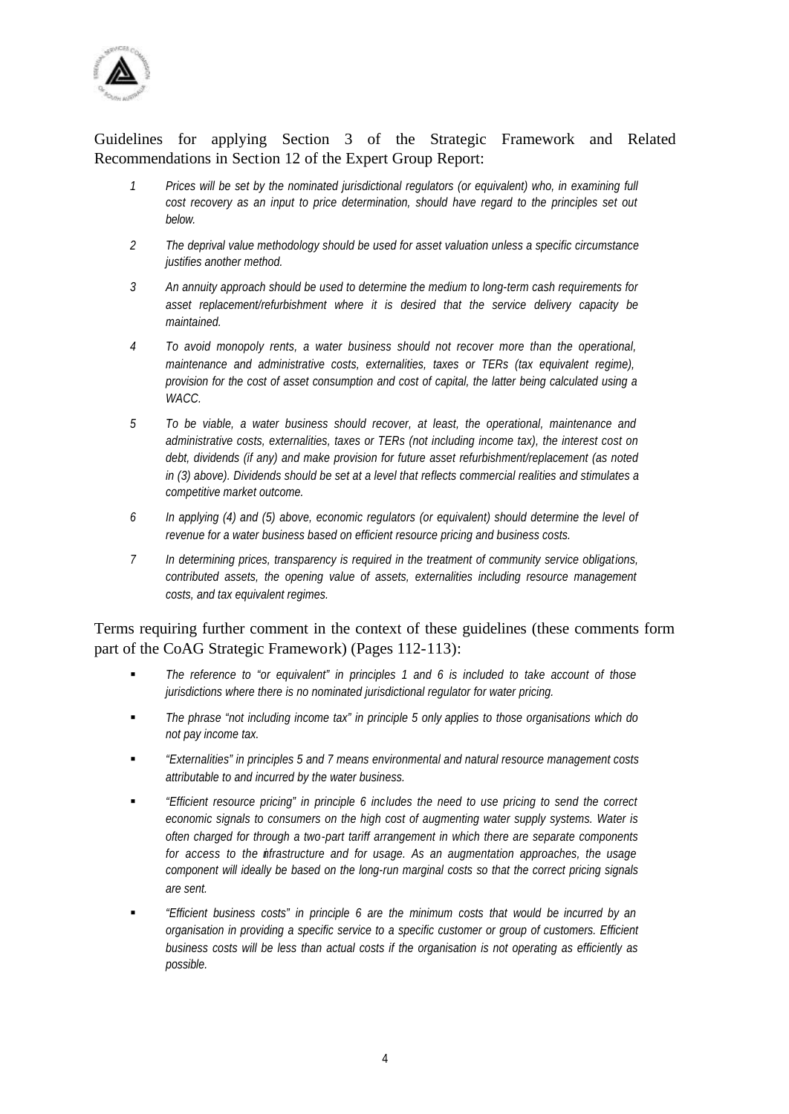

#### Guidelines for applying Section 3 of the Strategic Framework and Related Recommendations in Section 12 of the Expert Group Report:

- *1 Prices will be set by the nominated jurisdictional regulators (or equivalent) who, in examining full cost recovery as an input to price determination, should have regard to the principles set out below.*
- *2 The deprival value methodology should be used for asset valuation unless a specific circumstance justifies another method.*
- *3 An annuity approach should be used to determine the medium to long-term cash requirements for asset replacement/refurbishment where it is desired that the service delivery capacity be maintained.*
- *4 To avoid monopoly rents, a water business should not recover more than the operational, maintenance and administrative costs, externalities, taxes or TERs (tax equivalent regime), provision for the cost of asset consumption and cost of capital, the latter being calculated using a WACC.*
- *5 To be viable, a water business should recover, at least, the operational, maintenance and administrative costs, externalities, taxes or TERs (not including income tax), the interest cost on debt, dividends (if any) and make provision for future asset refurbishment/replacement (as noted in (3) above). Dividends should be set at a level that reflects commercial realities and stimulates a competitive market outcome.*
- *6 In applying (4) and (5) above, economic regulators (or equivalent) should determine the level of revenue for a water business based on efficient resource pricing and business costs.*
- *7 In determining prices, transparency is required in the treatment of community service obligations, contributed assets, the opening value of assets, externalities including resource management costs, and tax equivalent regimes.*

Terms requiring further comment in the context of these guidelines (these comments form part of the CoAG Strategic Framework) (Pages 112-113):

- ß *The reference to "or equivalent" in principles 1 and 6 is included to take account of those jurisdictions where there is no nominated jurisdictional regulator for water pricing.*
- ß *The phrase "not including income tax" in principle 5 only applies to those organisations which do not pay income tax.*
- ß *"Externalities" in principles 5 and 7 means environmental and natural resource management costs attributable to and incurred by the water business.*
- ß *"Efficient resource pricing" in principle 6 includes the need to use pricing to send the correct economic signals to consumers on the high cost of augmenting water supply systems. Water is often charged for through a two-part tariff arrangement in which there are separate components for access to the infrastructure and for usage. As an augmentation approaches, the usage component will ideally be based on the long-run marginal costs so that the correct pricing signals are sent.*
- ß *"Efficient business costs" in principle 6 are the minimum costs that would be incurred by an organisation in providing a specific service to a specific customer or group of customers. Efficient business costs will be less than actual costs if the organisation is not operating as efficiently as possible.*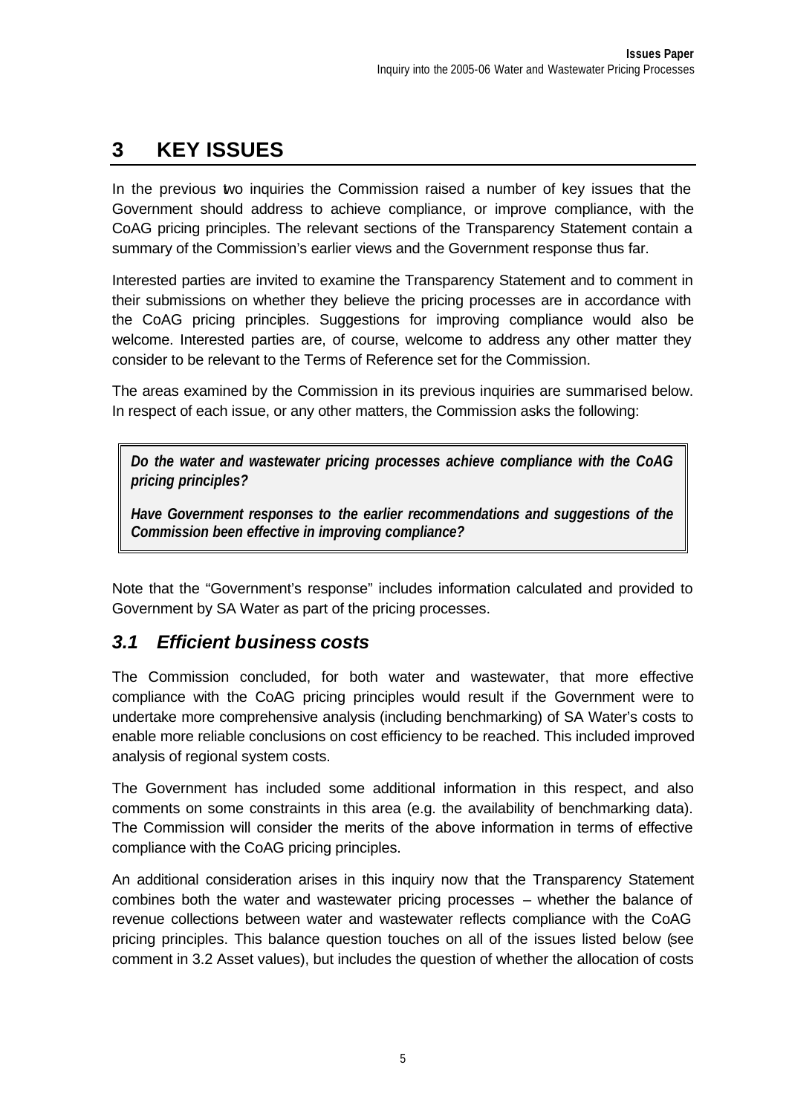# **3 KEY ISSUES**

In the previous two inquiries the Commission raised a number of key issues that the Government should address to achieve compliance, or improve compliance, with the CoAG pricing principles. The relevant sections of the Transparency Statement contain a summary of the Commission's earlier views and the Government response thus far.

Interested parties are invited to examine the Transparency Statement and to comment in their submissions on whether they believe the pricing processes are in accordance with the CoAG pricing principles. Suggestions for improving compliance would also be welcome. Interested parties are, of course, welcome to address any other matter they consider to be relevant to the Terms of Reference set for the Commission.

The areas examined by the Commission in its previous inquiries are summarised below. In respect of each issue, or any other matters, the Commission asks the following:

*Do the water and wastewater pricing processes achieve compliance with the CoAG pricing principles?*

*Have Government responses to the earlier recommendations and suggestions of the Commission been effective in improving compliance?*

Note that the "Government's response" includes information calculated and provided to Government by SA Water as part of the pricing processes.

#### *3.1 Efficient business costs*

The Commission concluded, for both water and wastewater, that more effective compliance with the CoAG pricing principles would result if the Government were to undertake more comprehensive analysis (including benchmarking) of SA Water's costs to enable more reliable conclusions on cost efficiency to be reached. This included improved analysis of regional system costs.

The Government has included some additional information in this respect, and also comments on some constraints in this area (e.g. the availability of benchmarking data). The Commission will consider the merits of the above information in terms of effective compliance with the CoAG pricing principles.

An additional consideration arises in this inquiry now that the Transparency Statement combines both the water and wastewater pricing processes – whether the balance of revenue collections between water and wastewater reflects compliance with the CoAG pricing principles. This balance question touches on all of the issues listed below (see comment in 3.2 Asset values), but includes the question of whether the allocation of costs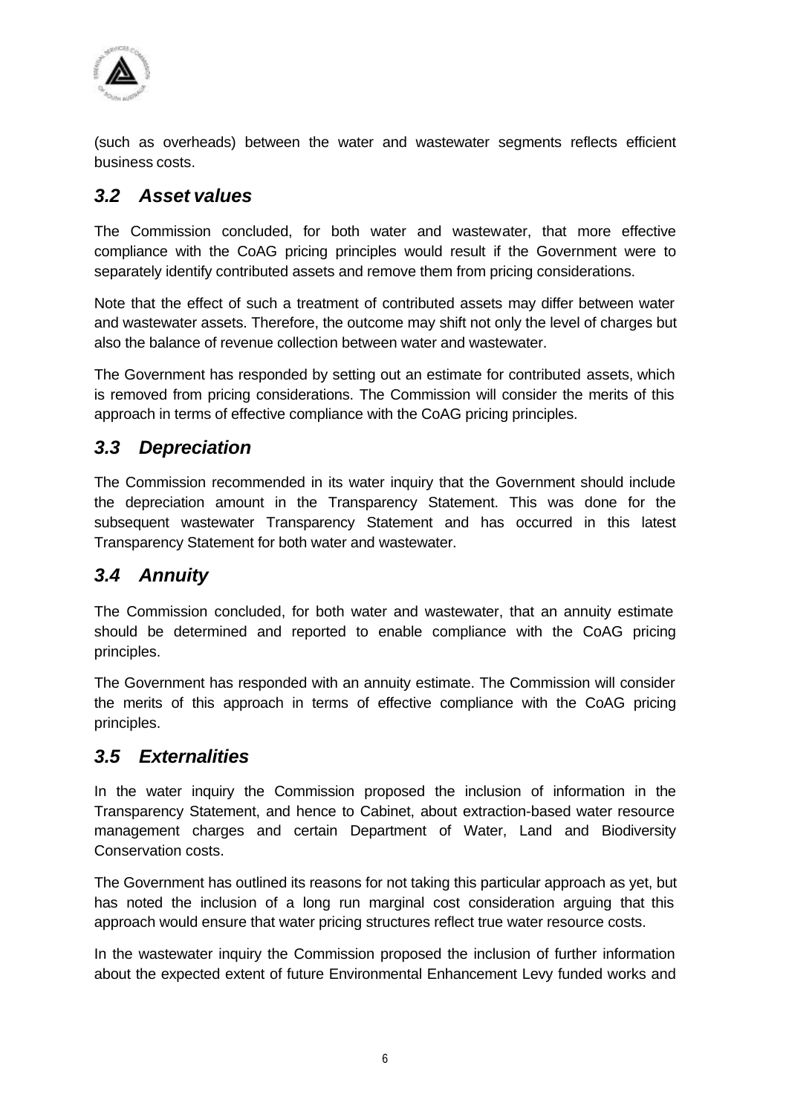

(such as overheads) between the water and wastewater segments reflects efficient business costs.

#### *3.2 Asset values*

The Commission concluded, for both water and wastewater, that more effective compliance with the CoAG pricing principles would result if the Government were to separately identify contributed assets and remove them from pricing considerations.

Note that the effect of such a treatment of contributed assets may differ between water and wastewater assets. Therefore, the outcome may shift not only the level of charges but also the balance of revenue collection between water and wastewater.

The Government has responded by setting out an estimate for contributed assets, which is removed from pricing considerations. The Commission will consider the merits of this approach in terms of effective compliance with the CoAG pricing principles.

#### *3.3 Depreciation*

The Commission recommended in its water inquiry that the Government should include the depreciation amount in the Transparency Statement. This was done for the subsequent wastewater Transparency Statement and has occurred in this latest Transparency Statement for both water and wastewater.

#### *3.4 Annuity*

The Commission concluded, for both water and wastewater, that an annuity estimate should be determined and reported to enable compliance with the CoAG pricing principles.

The Government has responded with an annuity estimate. The Commission will consider the merits of this approach in terms of effective compliance with the CoAG pricing principles.

#### *3.5 Externalities*

In the water inquiry the Commission proposed the inclusion of information in the Transparency Statement, and hence to Cabinet, about extraction-based water resource management charges and certain Department of Water, Land and Biodiversity Conservation costs.

The Government has outlined its reasons for not taking this particular approach as yet, but has noted the inclusion of a long run marginal cost consideration arguing that this approach would ensure that water pricing structures reflect true water resource costs.

In the wastewater inquiry the Commission proposed the inclusion of further information about the expected extent of future Environmental Enhancement Levy funded works and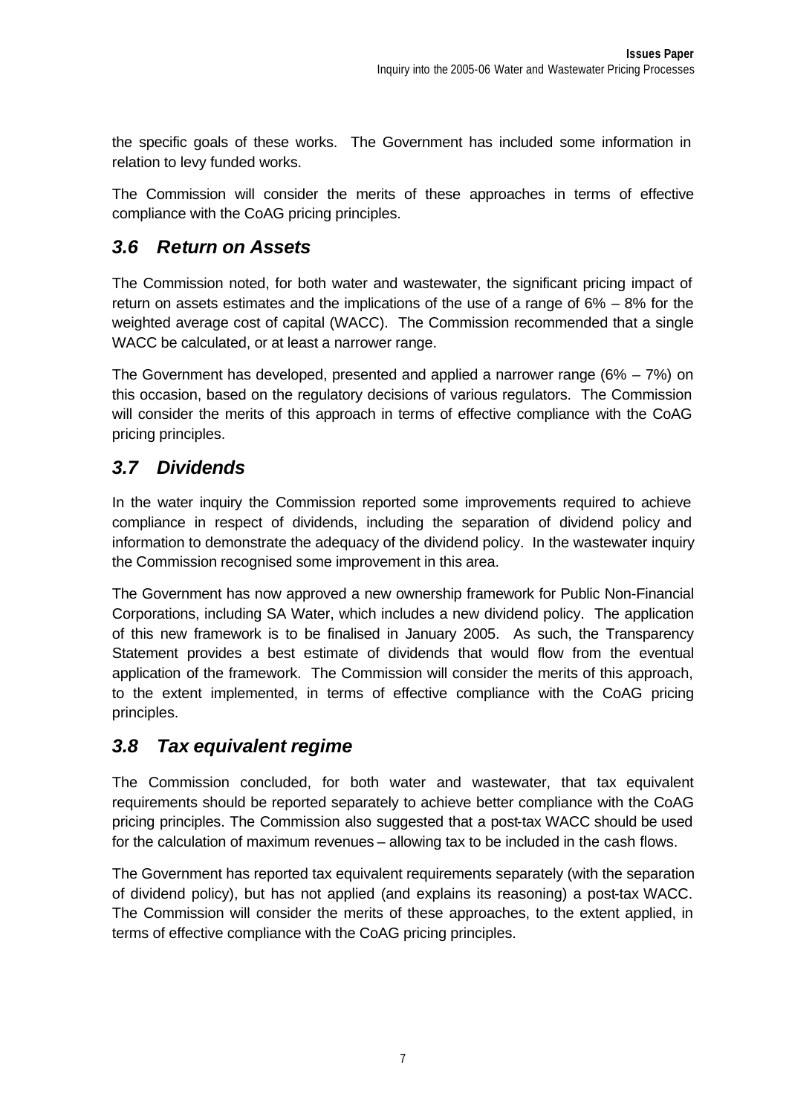the specific goals of these works. The Government has included some information in relation to levy funded works.

The Commission will consider the merits of these approaches in terms of effective compliance with the CoAG pricing principles.

#### *3.6 Return on Assets*

The Commission noted, for both water and wastewater, the significant pricing impact of return on assets estimates and the implications of the use of a range of  $6\% - 8\%$  for the weighted average cost of capital (WACC). The Commission recommended that a single WACC be calculated, or at least a narrower range.

The Government has developed, presented and applied a narrower range (6% – 7%) on this occasion, based on the regulatory decisions of various regulators. The Commission will consider the merits of this approach in terms of effective compliance with the CoAG pricing principles.

#### *3.7 Dividends*

In the water inquiry the Commission reported some improvements required to achieve compliance in respect of dividends, including the separation of dividend policy and information to demonstrate the adequacy of the dividend policy. In the wastewater inquiry the Commission recognised some improvement in this area.

The Government has now approved a new ownership framework for Public Non-Financial Corporations, including SA Water, which includes a new dividend policy. The application of this new framework is to be finalised in January 2005. As such, the Transparency Statement provides a best estimate of dividends that would flow from the eventual application of the framework. The Commission will consider the merits of this approach, to the extent implemented, in terms of effective compliance with the CoAG pricing principles.

#### *3.8 Tax equivalent regime*

The Commission concluded, for both water and wastewater, that tax equivalent requirements should be reported separately to achieve better compliance with the CoAG pricing principles. The Commission also suggested that a post-tax WACC should be used for the calculation of maximum revenues – allowing tax to be included in the cash flows.

The Government has reported tax equivalent requirements separately (with the separation of dividend policy), but has not applied (and explains its reasoning) a post-tax WACC. The Commission will consider the merits of these approaches, to the extent applied, in terms of effective compliance with the CoAG pricing principles.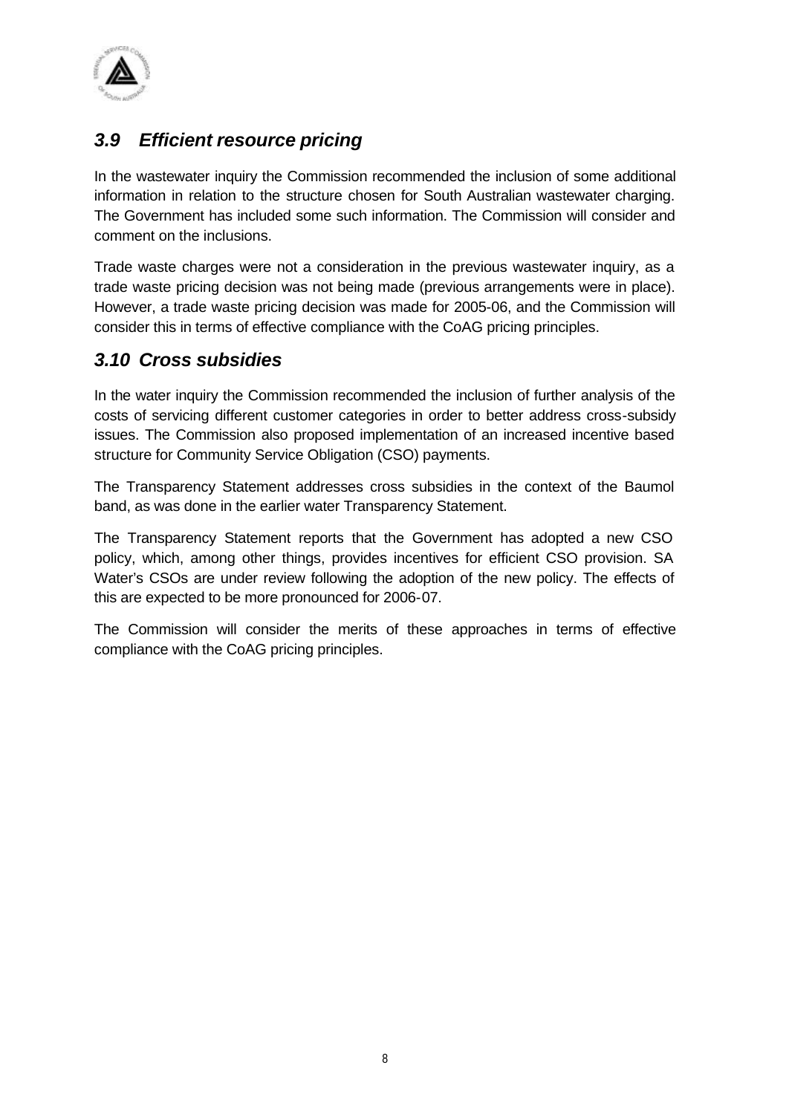

#### *3.9 Efficient resource pricing*

In the wastewater inquiry the Commission recommended the inclusion of some additional information in relation to the structure chosen for South Australian wastewater charging. The Government has included some such information. The Commission will consider and comment on the inclusions.

Trade waste charges were not a consideration in the previous wastewater inquiry, as a trade waste pricing decision was not being made (previous arrangements were in place). However, a trade waste pricing decision was made for 2005-06, and the Commission will consider this in terms of effective compliance with the CoAG pricing principles.

#### *3.10 Cross subsidies*

In the water inquiry the Commission recommended the inclusion of further analysis of the costs of servicing different customer categories in order to better address cross-subsidy issues. The Commission also proposed implementation of an increased incentive based structure for Community Service Obligation (CSO) payments.

The Transparency Statement addresses cross subsidies in the context of the Baumol band, as was done in the earlier water Transparency Statement.

The Transparency Statement reports that the Government has adopted a new CSO policy, which, among other things, provides incentives for efficient CSO provision. SA Water's CSOs are under review following the adoption of the new policy. The effects of this are expected to be more pronounced for 2006-07.

The Commission will consider the merits of these approaches in terms of effective compliance with the CoAG pricing principles.